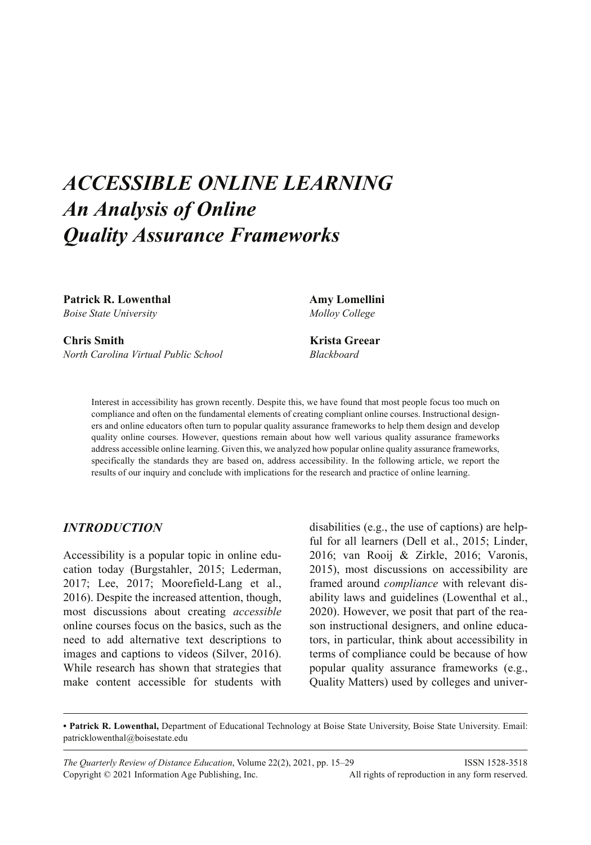# *ACCESSIBLE ONLINE LEARNING An Analysis of Online Quality Assurance Frameworks*

Patrick R. Lowenthal **Amy Lomellini** *Boise State University Molloy College*

**Chris Smith Krista Greear** *North Carolina Virtual Public School Blackboard*

Interest in accessibility has grown recently. Despite this, we have found that most people focus too much on compliance and often on the fundamental elements of creating compliant online courses. Instructional designers and online educators often turn to popular quality assurance frameworks to help them design and develop quality online courses. However, questions remain about how well various quality assurance frameworks address accessible online learning. Given this, we analyzed how popular online quality assurance frameworks, specifically the standards they are based on, address accessibility. In the following article, we report the results of our inquiry and conclude with implications for the research and practice of online learning.

## *INTRODUCTION*

Accessibility is a popular topic in online education today (Burgstahler, 2015; Lederman, 2017; Lee, 2017; Moorefield-Lang et al., 2016). Despite the increased attention, though, most discussions about creating *accessible* online courses focus on the basics, such as the need to add alternative text descriptions to images and captions to videos (Silver, 2016). While research has shown that strategies that make content accessible for students with

disabilities (e.g., the use of captions) are helpful for all learners (Dell et al., 2015; Linder, 2016; van Rooij & Zirkle, 2016; Varonis, 2015), most discussions on accessibility are framed around *compliance* with relevant disability laws and guidelines (Lowenthal et al., 2020). However, we posit that part of the reason instructional designers, and online educators, in particular, think about accessibility in terms of compliance could be because of how popular quality assurance frameworks (e.g., Quality Matters) used by colleges and univer-

**• Patrick R. Lowenthal,** Department of Educational Technology at Boise State University, Boise State University. Email: patricklowenthal@boisestate.edu

*The Quarterly Review of Distance Education*, Volume 22(2), 2021, pp. 15–29 ISSN 1528-3518 Copyright © 2021 Information Age Publishing, Inc. All rights of reproduction in any form reserved.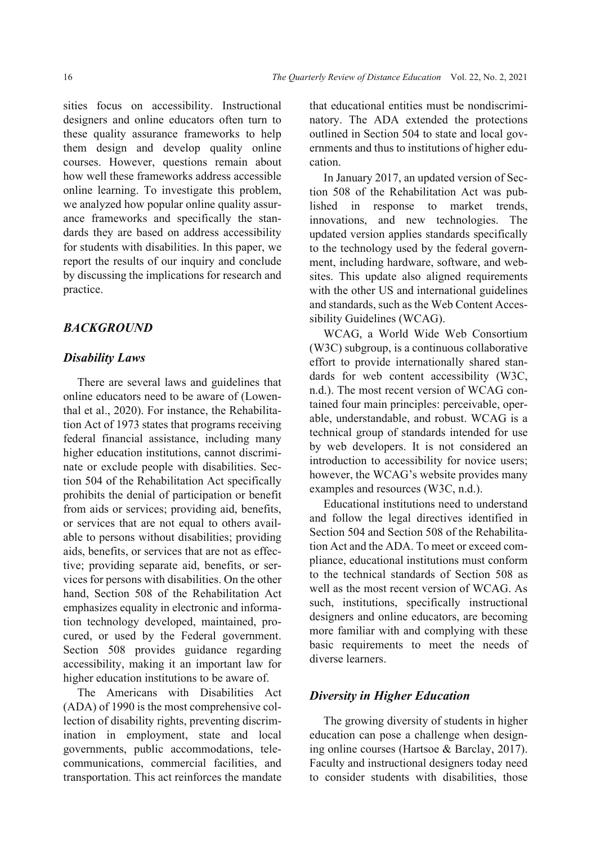sities focus on accessibility. Instructional designers and online educators often turn to these quality assurance frameworks to help them design and develop quality online courses. However, questions remain about how well these frameworks address accessible online learning. To investigate this problem, we analyzed how popular online quality assurance frameworks and specifically the standards they are based on address accessibility for students with disabilities. In this paper, we report the results of our inquiry and conclude by discussing the implications for research and practice.

#### *BACKGROUND*

#### *Disability Laws*

There are several laws and guidelines that online educators need to be aware of (Lowenthal et al., 2020). For instance, the Rehabilitation Act of 1973 states that programs receiving federal financial assistance, including many higher education institutions, cannot discriminate or exclude people with disabilities. Section 504 of the Rehabilitation Act specifically prohibits the denial of participation or benefit from aids or services; providing aid, benefits, or services that are not equal to others available to persons without disabilities; providing aids, benefits, or services that are not as effective; providing separate aid, benefits, or services for persons with disabilities. On the other hand, Section 508 of the Rehabilitation Act emphasizes equality in electronic and information technology developed, maintained, procured, or used by the Federal government. Section 508 provides guidance regarding accessibility, making it an important law for higher education institutions to be aware of.

The Americans with Disabilities Act (ADA) of 1990 is the most comprehensive collection of disability rights, preventing discrimination in employment, state and local governments, public accommodations, telecommunications, commercial facilities, and transportation. This act reinforces the mandate

that educational entities must be nondiscriminatory. The ADA extended the protections outlined in Section 504 to state and local governments and thus to institutions of higher education.

In January 2017, an updated version of Section 508 of the Rehabilitation Act was published in response to market trends, innovations, and new technologies. The updated version applies standards specifically to the technology used by the federal government, including hardware, software, and websites. This update also aligned requirements with the other US and international guidelines and standards, such as the Web Content Accessibility Guidelines (WCAG).

WCAG, a World Wide Web Consortium (W3C) subgroup, is a continuous collaborative effort to provide internationally shared standards for web content accessibility (W3C, n.d.). The most recent version of WCAG contained four main principles: perceivable, operable, understandable, and robust. WCAG is a technical group of standards intended for use by web developers. It is not considered an introduction to accessibility for novice users; however, the WCAG's website provides many examples and resources (W3C, n.d.).

Educational institutions need to understand and follow the legal directives identified in Section 504 and Section 508 of the Rehabilitation Act and the ADA. To meet or exceed compliance, educational institutions must conform to the technical standards of Section 508 as well as the most recent version of WCAG. As such, institutions, specifically instructional designers and online educators, are becoming more familiar with and complying with these basic requirements to meet the needs of diverse learners.

#### *Diversity in Higher Education*

The growing diversity of students in higher education can pose a challenge when designing online courses (Hartsoe & Barclay, 2017). Faculty and instructional designers today need to consider students with disabilities, those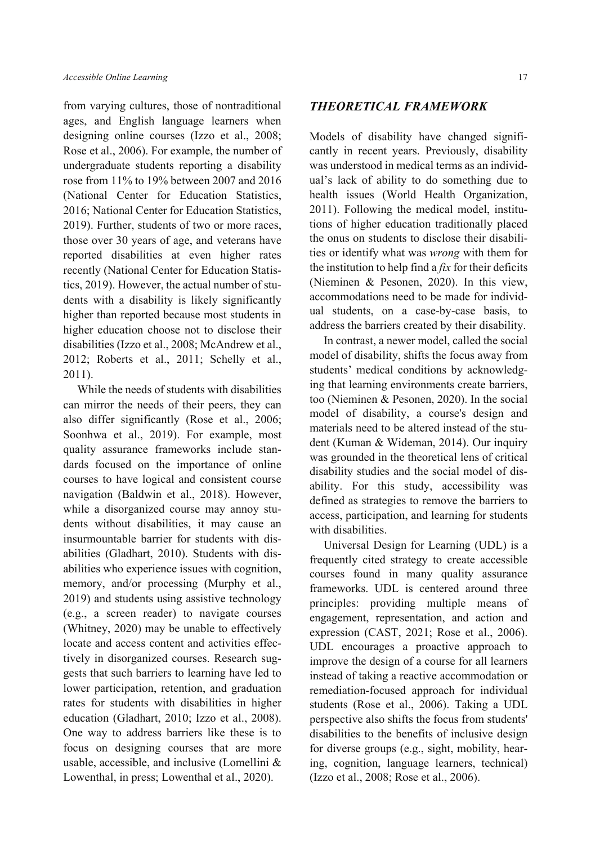from varying cultures, those of nontraditional ages, and English language learners when designing online courses (Izzo et al., 2008; Rose et al., 2006). For example, the number of undergraduate students reporting a disability rose from 11% to 19% between 2007 and 2016 (National Center for Education Statistics, 2016; National Center for Education Statistics, 2019). Further, students of two or more races, those over 30 years of age, and veterans have reported disabilities at even higher rates recently (National Center for Education Statistics, 2019). However, the actual number of students with a disability is likely significantly higher than reported because most students in higher education choose not to disclose their disabilities (Izzo et al., 2008; McAndrew et al., 2012; Roberts et al., 2011; Schelly et al., 2011).

While the needs of students with disabilities can mirror the needs of their peers, they can also differ significantly (Rose et al., 2006; Soonhwa et al., 2019). For example, most quality assurance frameworks include standards focused on the importance of online courses to have logical and consistent course navigation (Baldwin et al., 2018). However, while a disorganized course may annoy students without disabilities, it may cause an insurmountable barrier for students with disabilities (Gladhart, 2010). Students with disabilities who experience issues with cognition, memory, and/or processing (Murphy et al., 2019) and students using assistive technology (e.g., a screen reader) to navigate courses (Whitney, 2020) may be unable to effectively locate and access content and activities effectively in disorganized courses. Research suggests that such barriers to learning have led to lower participation, retention, and graduation rates for students with disabilities in higher education (Gladhart, 2010; Izzo et al., 2008). One way to address barriers like these is to focus on designing courses that are more usable, accessible, and inclusive (Lomellini & Lowenthal, in press; Lowenthal et al., 2020).

#### *THEORETICAL FRAMEWORK*

Models of disability have changed significantly in recent years. Previously, disability was understood in medical terms as an individual's lack of ability to do something due to health issues (World Health Organization, 2011). Following the medical model, institutions of higher education traditionally placed the onus on students to disclose their disabilities or identify what was *wrong* with them for the institution to help find a *fix* for their deficits (Nieminen & Pesonen, 2020). In this view, accommodations need to be made for individual students, on a case-by-case basis, to address the barriers created by their disability.

In contrast, a newer model, called the social model of disability, shifts the focus away from students' medical conditions by acknowledging that learning environments create barriers, too (Nieminen & Pesonen, 2020). In the social model of disability, a course's design and materials need to be altered instead of the student (Kuman & Wideman, 2014). Our inquiry was grounded in the theoretical lens of critical disability studies and the social model of disability. For this study, accessibility was defined as strategies to remove the barriers to access, participation, and learning for students with disabilities.

Universal Design for Learning (UDL) is a frequently cited strategy to create accessible courses found in many quality assurance frameworks. UDL is centered around three principles: providing multiple means of engagement, representation, and action and expression (CAST, 2021; Rose et al., 2006). UDL encourages a proactive approach to improve the design of a course for all learners instead of taking a reactive accommodation or remediation-focused approach for individual students (Rose et al., 2006). Taking a UDL perspective also shifts the focus from students' disabilities to the benefits of inclusive design for diverse groups (e.g., sight, mobility, hearing, cognition, language learners, technical) (Izzo et al., 2008; Rose et al., 2006).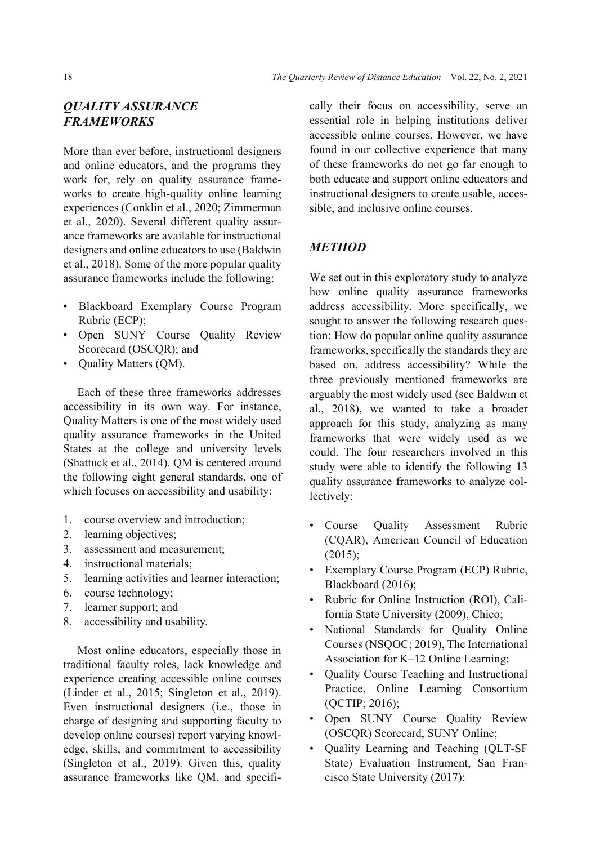# *QUALITY ASSURANCE FRAMEWORKS*

More than ever before, instructional designers and online educators, and the programs they work for, rely on quality assurance frameworks to create high-quality online learning experiences (Conklin et al., 2020; Zimmerman et al., 2020). Several different quality assurance frameworks are available for instructional designers and online educators to use (Baldwin et al., 2018). Some of the more popular quality assurance frameworks include the following:

- Blackboard Exemplary Course Program Rubric (ECP);
- Open SUNY Course Quality Review Scorecard (OSCQR); and
- Quality Matters (QM).

Each of these three frameworks addresses accessibility in its own way. For instance, Quality Matters is one of the most widely used quality assurance frameworks in the United States at the college and university levels (Shattuck et al., 2014). QM is centered around the following eight general standards, one of which focuses on accessibility and usability:

- 1. course overview and introduction;
- 2. learning objectives;
- 3. assessment and measurement;
- 4. instructional materials;
- 5. learning activities and learner interaction;
- 6. course technology;
- 7. learner support; and
- 8. accessibility and usability.

Most online educators, especially those in traditional faculty roles, lack knowledge and experience creating accessible online courses (Linder et al., 2015; Singleton et al., 2019). Even instructional designers (i.e., those in charge of designing and supporting faculty to develop online courses) report varying knowledge, skills, and commitment to accessibility (Singleton et al., 2019). Given this, quality assurance frameworks like QM, and specifically their focus on accessibility, serve an essential role in helping institutions deliver accessible online courses. However, we have found in our collective experience that many of these frameworks do not go far enough to both educate and support online educators and instructional designers to create usable, accessible, and inclusive online courses.

# *METHOD*

We set out in this exploratory study to analyze how online quality assurance frameworks address accessibility. More specifically, we sought to answer the following research question: How do popular online quality assurance frameworks, specifically the standards they are based on, address accessibility? While the three previously mentioned frameworks are arguably the most widely used (see Baldwin et al., 2018), we wanted to take a broader approach for this study, analyzing as many frameworks that were widely used as we could. The four researchers involved in this study were able to identify the following 13 quality assurance frameworks to analyze collectively:

- Course Quality Assessment Rubric (CQAR), American Council of Education (2015);
- Exemplary Course Program (ECP) Rubric, Blackboard (2016);
- Rubric for Online Instruction (ROI), California State University (2009), Chico;
- National Standards for Quality Online Courses (NSQOC; 2019), The International Association for K–12 Online Learning;
- Quality Course Teaching and Instructional Practice, Online Learning Consortium (QCTIP; 2016);
- Open SUNY Course Quality Review (OSCQR) Scorecard, SUNY Online;
- Quality Learning and Teaching (QLT-SF State) Evaluation Instrument, San Francisco State University (2017);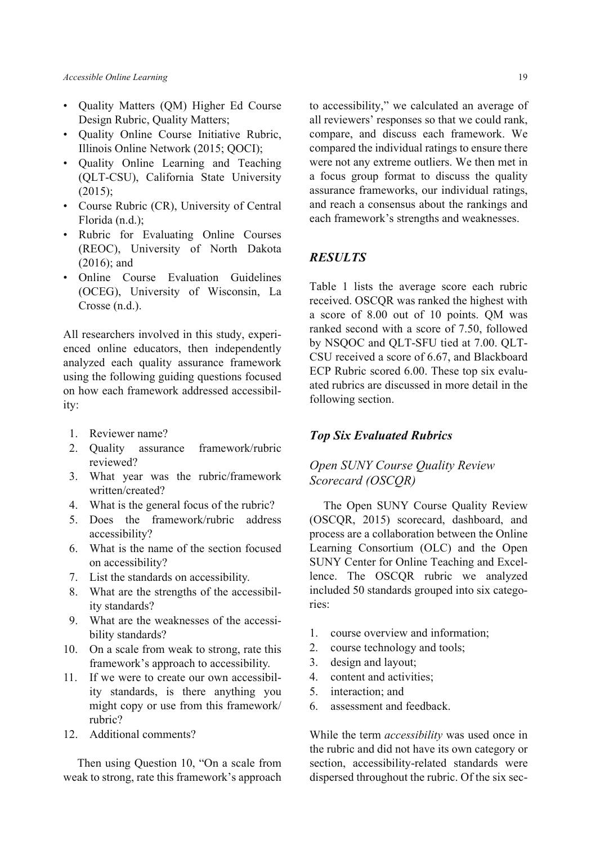- Quality Matters (QM) Higher Ed Course Design Rubric, Quality Matters;
- Quality Online Course Initiative Rubric, Illinois Online Network (2015; QOCI);
- Quality Online Learning and Teaching (QLT-CSU), California State University (2015);
- Course Rubric (CR), University of Central Florida (n.d.);
- Rubric for Evaluating Online Courses (REOC), University of North Dakota (2016); and
- Online Course Evaluation Guidelines (OCEG), University of Wisconsin, La Crosse (n.d.).

All researchers involved in this study, experienced online educators, then independently analyzed each quality assurance framework using the following guiding questions focused on how each framework addressed accessibility:

- 1. Reviewer name?
- 2. Quality assurance framework/rubric reviewed?
- 3. What year was the rubric/framework written/created?
- 4. What is the general focus of the rubric?
- 5. Does the framework/rubric address accessibility?
- 6. What is the name of the section focused on accessibility?
- 7. List the standards on accessibility.
- 8. What are the strengths of the accessibility standards?
- 9. What are the weaknesses of the accessibility standards?
- 10. On a scale from weak to strong, rate this framework's approach to accessibility.
- 11. If we were to create our own accessibility standards, is there anything you might copy or use from this framework/ rubric?
- 12. Additional comments?

Then using Question 10, "On a scale from weak to strong, rate this framework's approach

to accessibility," we calculated an average of all reviewers' responses so that we could rank, compare, and discuss each framework. We compared the individual ratings to ensure there were not any extreme outliers. We then met in a focus group format to discuss the quality assurance frameworks, our individual ratings, and reach a consensus about the rankings and each framework's strengths and weaknesses.

#### *RESULTS*

Table 1 lists the average score each rubric received. OSCQR was ranked the highest with a score of 8.00 out of 10 points. QM was ranked second with a score of 7.50, followed by NSQOC and QLT-SFU tied at 7.00. QLT-CSU received a score of 6.67, and Blackboard ECP Rubric scored 6.00. These top six evaluated rubrics are discussed in more detail in the following section.

#### *Top Six Evaluated Rubrics*

## *Open SUNY Course Quality Review Scorecard (OSCQR)*

The Open SUNY Course Quality Review (OSCQR, 2015) scorecard, dashboard, and process are a collaboration between the Online Learning Consortium (OLC) and the Open SUNY Center for Online Teaching and Excellence. The OSCQR rubric we analyzed included 50 standards grouped into six categories:

- 1. course overview and information;
- 2. course technology and tools;
- 3. design and layout;
- 4. content and activities;
- 5. interaction; and
- 6. assessment and feedback.

While the term *accessibility* was used once in the rubric and did not have its own category or section, accessibility-related standards were dispersed throughout the rubric. Of the six sec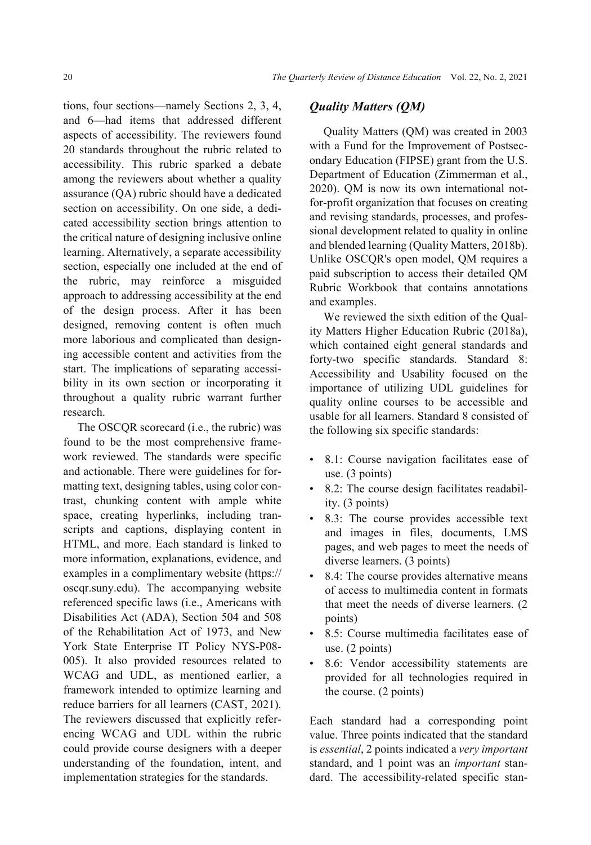tions, four sections—namely Sections 2, 3, 4, and 6—had items that addressed different aspects of accessibility. The reviewers found 20 standards throughout the rubric related to accessibility. This rubric sparked a debate among the reviewers about whether a quality assurance (QA) rubric should have a dedicated section on accessibility. On one side, a dedicated accessibility section brings attention to the critical nature of designing inclusive online learning. Alternatively, a separate accessibility section, especially one included at the end of the rubric, may reinforce a misguided approach to addressing accessibility at the end of the design process. After it has been designed, removing content is often much more laborious and complicated than designing accessible content and activities from the start. The implications of separating accessibility in its own section or incorporating it throughout a quality rubric warrant further research.

The OSCQR scorecard (i.e., the rubric) was found to be the most comprehensive framework reviewed. The standards were specific and actionable. There were guidelines for formatting text, designing tables, using color contrast, chunking content with ample white space, creating hyperlinks, including transcripts and captions, displaying content in HTML, and more. Each standard is linked to more information, explanations, evidence, and examples in a complimentary website (https:// oscqr.suny.edu). The accompanying website referenced specific laws (i.e., Americans with Disabilities Act (ADA), Section 504 and 508 of the Rehabilitation Act of 1973, and New York State Enterprise IT Policy NYS-P08- 005). It also provided resources related to WCAG and UDL, as mentioned earlier, a framework intended to optimize learning and reduce barriers for all learners (CAST, 2021). The reviewers discussed that explicitly referencing WCAG and UDL within the rubric could provide course designers with a deeper understanding of the foundation, intent, and implementation strategies for the standards.

## *Quality Matters (QM)*

Quality Matters (QM) was created in 2003 with a Fund for the Improvement of Postsecondary Education (FIPSE) grant from the U.S. Department of Education (Zimmerman et al., 2020). QM is now its own international notfor-profit organization that focuses on creating and revising standards, processes, and professional development related to quality in online and blended learning (Quality Matters, 2018b). Unlike OSCQR's open model, QM requires a paid subscription to access their detailed QM Rubric Workbook that contains annotations and examples.

We reviewed the sixth edition of the Quality Matters Higher Education Rubric (2018a), which contained eight general standards and forty-two specific standards. Standard 8: Accessibility and Usability focused on the importance of utilizing UDL guidelines for quality online courses to be accessible and usable for all learners. Standard 8 consisted of the following six specific standards:

- 8.1: Course navigation facilitates ease of use. (3 points)
- 8.2: The course design facilitates readability. (3 points)
- 8.3: The course provides accessible text and images in files, documents, LMS pages, and web pages to meet the needs of diverse learners. (3 points)
- 8.4: The course provides alternative means of access to multimedia content in formats that meet the needs of diverse learners. (2 points)
- 8.5: Course multimedia facilitates ease of use. (2 points)
- 8.6: Vendor accessibility statements are provided for all technologies required in the course. (2 points)

Each standard had a corresponding point value. Three points indicated that the standard is *essential*, 2 points indicated a *very important* standard, and 1 point was an *important* standard. The accessibility-related specific stan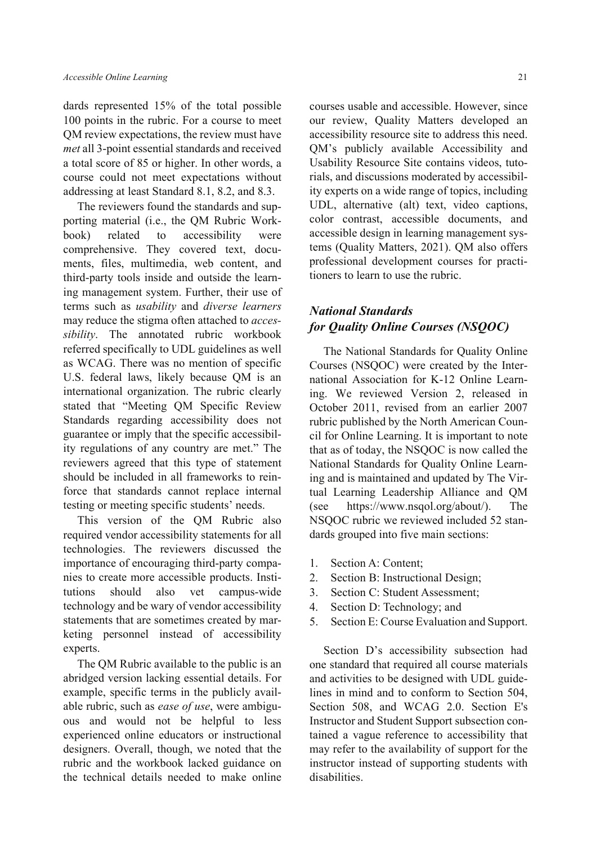dards represented 15% of the total possible 100 points in the rubric. For a course to meet QM review expectations, the review must have *met* all 3-point essential standards and received a total score of 85 or higher. In other words, a course could not meet expectations without addressing at least Standard 8.1, 8.2, and 8.3.

The reviewers found the standards and supporting material (i.e., the QM Rubric Workbook) related to accessibility were comprehensive. They covered text, documents, files, multimedia, web content, and third-party tools inside and outside the learning management system. Further, their use of terms such as *usability* and *diverse learners* may reduce the stigma often attached to *accessibility*. The annotated rubric workbook referred specifically to UDL guidelines as well as WCAG. There was no mention of specific U.S. federal laws, likely because QM is an international organization. The rubric clearly stated that "Meeting QM Specific Review Standards regarding accessibility does not guarantee or imply that the specific accessibility regulations of any country are met." The reviewers agreed that this type of statement should be included in all frameworks to reinforce that standards cannot replace internal testing or meeting specific students' needs.

This version of the QM Rubric also required vendor accessibility statements for all technologies. The reviewers discussed the importance of encouraging third-party companies to create more accessible products. Institutions should also vet campus-wide technology and be wary of vendor accessibility statements that are sometimes created by marketing personnel instead of accessibility experts.

The QM Rubric available to the public is an abridged version lacking essential details. For example, specific terms in the publicly available rubric, such as *ease of use*, were ambiguous and would not be helpful to less experienced online educators or instructional designers. Overall, though, we noted that the rubric and the workbook lacked guidance on the technical details needed to make online courses usable and accessible. However, since our review, Quality Matters developed an accessibility resource site to address this need. QM's publicly available Accessibility and Usability Resource Site contains videos, tutorials, and discussions moderated by accessibility experts on a wide range of topics, including UDL, alternative (alt) text, video captions, color contrast, accessible documents, and accessible design in learning management systems (Quality Matters, 2021). QM also offers professional development courses for practitioners to learn to use the rubric.

# *National Standards for Quality Online Courses (NSQOC)*

The National Standards for Quality Online Courses (NSQOC) were created by the International Association for K-12 Online Learning. We reviewed Version 2, released in October 2011, revised from an earlier 2007 rubric published by the North American Council for Online Learning. It is important to note that as of today, the NSQOC is now called the National Standards for Quality Online Learning and is maintained and updated by The Virtual Learning Leadership Alliance and QM (see https://www.nsqol.org/about/). The NSQOC rubric we reviewed included 52 standards grouped into five main sections:

- 1. Section A: Content;
- 2. Section B: Instructional Design;
- 3. Section C: Student Assessment;
- 4. Section D: Technology; and
- 5. Section E: Course Evaluation and Support.

Section D's accessibility subsection had one standard that required all course materials and activities to be designed with UDL guidelines in mind and to conform to Section 504, Section 508, and WCAG 2.0. Section E's Instructor and Student Support subsection contained a vague reference to accessibility that may refer to the availability of support for the instructor instead of supporting students with disabilities.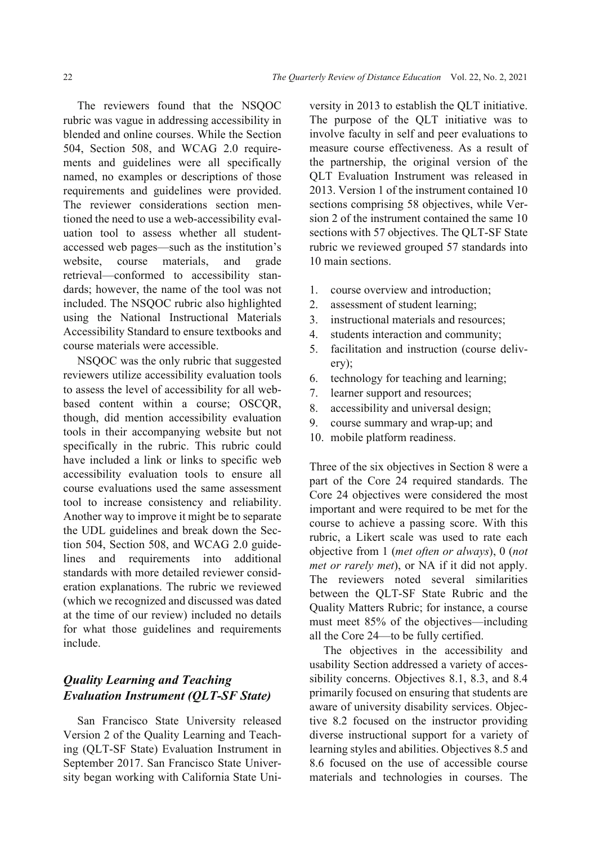The reviewers found that the NSQOC rubric was vague in addressing accessibility in blended and online courses. While the Section 504, Section 508, and WCAG 2.0 requirements and guidelines were all specifically named, no examples or descriptions of those requirements and guidelines were provided. The reviewer considerations section mentioned the need to use a web-accessibility evaluation tool to assess whether all studentaccessed web pages—such as the institution's website, course materials, and grade retrieval—conformed to accessibility standards; however, the name of the tool was not included. The NSQOC rubric also highlighted using the National Instructional Materials Accessibility Standard to ensure textbooks and course materials were accessible.

NSQOC was the only rubric that suggested reviewers utilize accessibility evaluation tools to assess the level of accessibility for all webbased content within a course; OSCQR, though, did mention accessibility evaluation tools in their accompanying website but not specifically in the rubric. This rubric could have included a link or links to specific web accessibility evaluation tools to ensure all course evaluations used the same assessment tool to increase consistency and reliability. Another way to improve it might be to separate the UDL guidelines and break down the Section 504, Section 508, and WCAG 2.0 guidelines and requirements into additional standards with more detailed reviewer consideration explanations. The rubric we reviewed (which we recognized and discussed was dated at the time of our review) included no details for what those guidelines and requirements include.

## *Quality Learning and Teaching Evaluation Instrument (QLT-SF State)*

San Francisco State University released Version 2 of the Quality Learning and Teaching (QLT-SF State) Evaluation Instrument in September 2017. San Francisco State University began working with California State University in 2013 to establish the QLT initiative. The purpose of the QLT initiative was to involve faculty in self and peer evaluations to measure course effectiveness. As a result of the partnership, the original version of the QLT Evaluation Instrument was released in 2013. Version 1 of the instrument contained 10 sections comprising 58 objectives, while Version 2 of the instrument contained the same 10 sections with 57 objectives. The OLT-SF State rubric we reviewed grouped 57 standards into 10 main sections.

- 1. course overview and introduction;
- 2. assessment of student learning;
- 3. instructional materials and resources;
- 4. students interaction and community;
- 5. facilitation and instruction (course delivery);
- 6. technology for teaching and learning;
- 7. learner support and resources;
- 8. accessibility and universal design;
- 9. course summary and wrap-up; and
- 10. mobile platform readiness.

Three of the six objectives in Section 8 were a part of the Core 24 required standards. The Core 24 objectives were considered the most important and were required to be met for the course to achieve a passing score. With this rubric, a Likert scale was used to rate each objective from 1 (*met often or always*), 0 (*not met or rarely met*), or NA if it did not apply. The reviewers noted several similarities between the QLT-SF State Rubric and the Quality Matters Rubric; for instance, a course must meet 85% of the objectives—including all the Core 24—to be fully certified.

The objectives in the accessibility and usability Section addressed a variety of accessibility concerns. Objectives 8.1, 8.3, and 8.4 primarily focused on ensuring that students are aware of university disability services. Objective 8.2 focused on the instructor providing diverse instructional support for a variety of learning styles and abilities. Objectives 8.5 and 8.6 focused on the use of accessible course materials and technologies in courses. The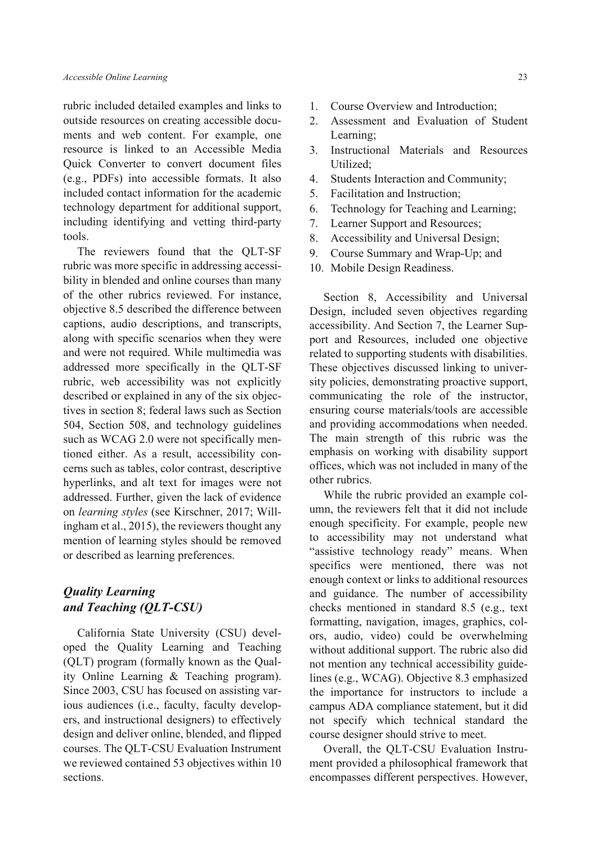rubric included detailed examples and links to outside resources on creating accessible documents and web content. For example, one resource is linked to an Accessible Media Quick Converter to convert document files (e.g., PDFs) into accessible formats. It also included contact information for the academic technology department for additional support, including identifying and vetting third-party tools.

The reviewers found that the QLT-SF rubric was more specific in addressing accessibility in blended and online courses than many of the other rubrics reviewed. For instance, objective 8.5 described the difference between captions, audio descriptions, and transcripts, along with specific scenarios when they were and were not required. While multimedia was addressed more specifically in the QLT-SF rubric, web accessibility was not explicitly described or explained in any of the six objectives in section 8; federal laws such as Section 504, Section 508, and technology guidelines such as WCAG 2.0 were not specifically mentioned either. As a result, accessibility concerns such as tables, color contrast, descriptive hyperlinks, and alt text for images were not addressed. Further, given the lack of evidence on *learning styles* (see Kirschner, 2017; Willingham et al., 2015), the reviewers thought any mention of learning styles should be removed or described as learning preferences.

## *Quality Learning and Teaching (QLT-CSU)*

California State University (CSU) developed the Quality Learning and Teaching (QLT) program (formally known as the Quality Online Learning & Teaching program). Since 2003, CSU has focused on assisting various audiences (i.e., faculty, faculty developers, and instructional designers) to effectively design and deliver online, blended, and flipped courses. The QLT-CSU Evaluation Instrument we reviewed contained 53 objectives within 10 sections.

- 1. Course Overview and Introduction;
- 2. Assessment and Evaluation of Student Learning;
- 3. Instructional Materials and Resources Utilized;
- 4. Students Interaction and Community;
- 5. Facilitation and Instruction;
- 6. Technology for Teaching and Learning;
- 7. Learner Support and Resources;
- 8. Accessibility and Universal Design;
- 9. Course Summary and Wrap-Up; and
- 10. Mobile Design Readiness.

Section 8, Accessibility and Universal Design, included seven objectives regarding accessibility. And Section 7, the Learner Support and Resources, included one objective related to supporting students with disabilities. These objectives discussed linking to university policies, demonstrating proactive support, communicating the role of the instructor, ensuring course materials/tools are accessible and providing accommodations when needed. The main strength of this rubric was the emphasis on working with disability support offices, which was not included in many of the other rubrics.

While the rubric provided an example column, the reviewers felt that it did not include enough specificity. For example, people new to accessibility may not understand what "assistive technology ready" means. When specifics were mentioned, there was not enough context or links to additional resources and guidance. The number of accessibility checks mentioned in standard 8.5 (e.g., text formatting, navigation, images, graphics, colors, audio, video) could be overwhelming without additional support. The rubric also did not mention any technical accessibility guidelines (e.g., WCAG). Objective 8.3 emphasized the importance for instructors to include a campus ADA compliance statement, but it did not specify which technical standard the course designer should strive to meet.

Overall, the QLT-CSU Evaluation Instrument provided a philosophical framework that encompasses different perspectives. However,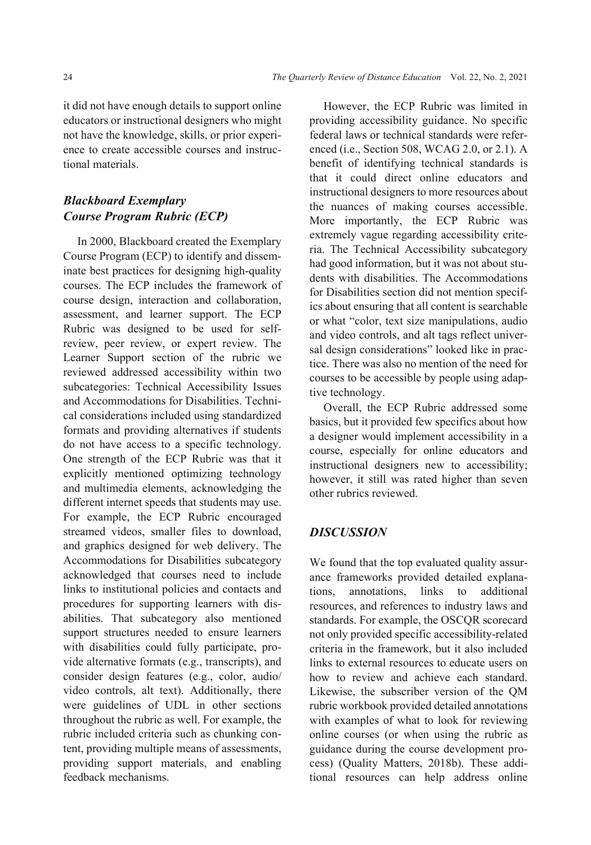it did not have enough details to support online educators or instructional designers who might not have the knowledge, skills, or prior experience to create accessible courses and instructional materials.

# *Blackboard Exemplary Course Program Rubric (ECP)*

In 2000, Blackboard created the Exemplary Course Program (ECP) to identify and disseminate best practices for designing high-quality courses. The ECP includes the framework of course design, interaction and collaboration, assessment, and learner support. The ECP Rubric was designed to be used for selfreview, peer review, or expert review. The Learner Support section of the rubric we reviewed addressed accessibility within two subcategories: Technical Accessibility Issues and Accommodations for Disabilities. Technical considerations included using standardized formats and providing alternatives if students do not have access to a specific technology. One strength of the ECP Rubric was that it explicitly mentioned optimizing technology and multimedia elements, acknowledging the different internet speeds that students may use. For example, the ECP Rubric encouraged streamed videos, smaller files to download, and graphics designed for web delivery. The Accommodations for Disabilities subcategory acknowledged that courses need to include links to institutional policies and contacts and procedures for supporting learners with disabilities. That subcategory also mentioned support structures needed to ensure learners with disabilities could fully participate, provide alternative formats (e.g., transcripts), and consider design features (e.g., color, audio/ video controls, alt text). Additionally, there were guidelines of UDL in other sections throughout the rubric as well. For example, the rubric included criteria such as chunking content, providing multiple means of assessments, providing support materials, and enabling feedback mechanisms.

However, the ECP Rubric was limited in providing accessibility guidance. No specific federal laws or technical standards were referenced (i.e., Section 508, WCAG 2.0, or 2.1). A benefit of identifying technical standards is that it could direct online educators and instructional designers to more resources about the nuances of making courses accessible. More importantly, the ECP Rubric was extremely vague regarding accessibility criteria. The Technical Accessibility subcategory had good information, but it was not about students with disabilities. The Accommodations for Disabilities section did not mention specifics about ensuring that all content is searchable or what "color, text size manipulations, audio and video controls, and alt tags reflect universal design considerations" looked like in practice. There was also no mention of the need for courses to be accessible by people using adaptive technology.

Overall, the ECP Rubric addressed some basics, but it provided few specifics about how a designer would implement accessibility in a course, especially for online educators and instructional designers new to accessibility; however, it still was rated higher than seven other rubrics reviewed.

## *DISCUSSION*

We found that the top evaluated quality assurance frameworks provided detailed explanations, annotations, links to additional resources, and references to industry laws and standards. For example, the OSCQR scorecard not only provided specific accessibility-related criteria in the framework, but it also included links to external resources to educate users on how to review and achieve each standard. Likewise, the subscriber version of the QM rubric workbook provided detailed annotations with examples of what to look for reviewing online courses (or when using the rubric as guidance during the course development process) (Quality Matters, 2018b). These additional resources can help address online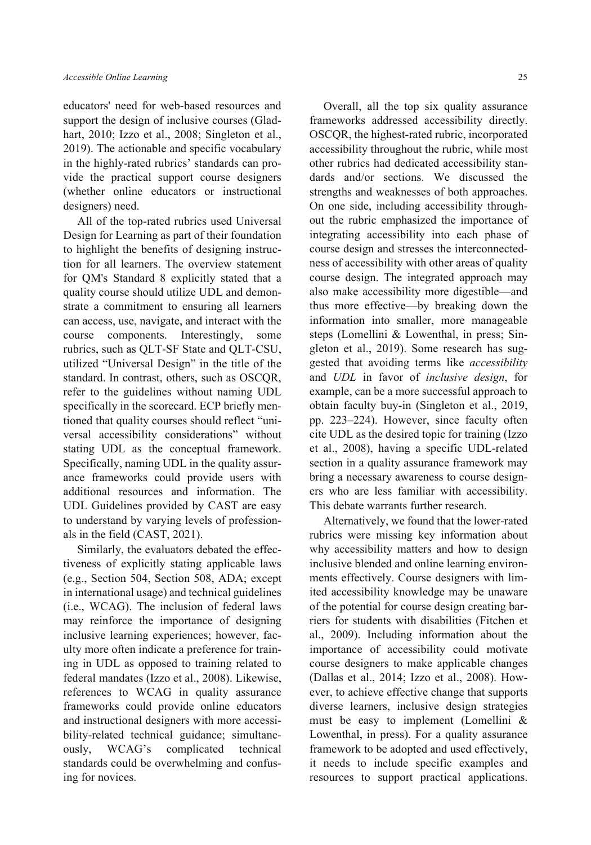educators' need for web-based resources and support the design of inclusive courses (Gladhart, 2010; Izzo et al., 2008; Singleton et al., 2019). The actionable and specific vocabulary in the highly-rated rubrics' standards can provide the practical support course designers (whether online educators or instructional designers) need.

All of the top-rated rubrics used Universal Design for Learning as part of their foundation to highlight the benefits of designing instruction for all learners. The overview statement for QM's Standard 8 explicitly stated that a quality course should utilize UDL and demonstrate a commitment to ensuring all learners can access, use, navigate, and interact with the course components. Interestingly, some rubrics, such as QLT-SF State and QLT-CSU, utilized "Universal Design" in the title of the standard. In contrast, others, such as OSCQR, refer to the guidelines without naming UDL specifically in the scorecard. ECP briefly mentioned that quality courses should reflect "universal accessibility considerations" without stating UDL as the conceptual framework. Specifically, naming UDL in the quality assurance frameworks could provide users with additional resources and information. The UDL Guidelines provided by CAST are easy to understand by varying levels of professionals in the field (CAST, 2021).

Similarly, the evaluators debated the effectiveness of explicitly stating applicable laws (e.g., Section 504, Section 508, ADA; except in international usage) and technical guidelines (i.e., WCAG). The inclusion of federal laws may reinforce the importance of designing inclusive learning experiences; however, faculty more often indicate a preference for training in UDL as opposed to training related to federal mandates (Izzo et al., 2008). Likewise, references to WCAG in quality assurance frameworks could provide online educators and instructional designers with more accessibility-related technical guidance; simultaneously, WCAG's complicated technical standards could be overwhelming and confusing for novices.

Overall, all the top six quality assurance frameworks addressed accessibility directly. OSCQR, the highest-rated rubric, incorporated accessibility throughout the rubric, while most other rubrics had dedicated accessibility standards and/or sections. We discussed the strengths and weaknesses of both approaches. On one side, including accessibility throughout the rubric emphasized the importance of integrating accessibility into each phase of course design and stresses the interconnectedness of accessibility with other areas of quality course design. The integrated approach may also make accessibility more digestible—and thus more effective—by breaking down the information into smaller, more manageable steps (Lomellini & Lowenthal, in press; Singleton et al., 2019). Some research has suggested that avoiding terms like *accessibility* and *UDL* in favor of *inclusive design*, for example, can be a more successful approach to obtain faculty buy-in (Singleton et al., 2019, pp. 223–224). However, since faculty often cite UDL as the desired topic for training (Izzo et al., 2008), having a specific UDL-related section in a quality assurance framework may bring a necessary awareness to course designers who are less familiar with accessibility. This debate warrants further research.

Alternatively, we found that the lower-rated rubrics were missing key information about why accessibility matters and how to design inclusive blended and online learning environments effectively. Course designers with limited accessibility knowledge may be unaware of the potential for course design creating barriers for students with disabilities (Fitchen et al., 2009). Including information about the importance of accessibility could motivate course designers to make applicable changes (Dallas et al., 2014; Izzo et al., 2008). However, to achieve effective change that supports diverse learners, inclusive design strategies must be easy to implement (Lomellini & Lowenthal, in press). For a quality assurance framework to be adopted and used effectively, it needs to include specific examples and resources to support practical applications.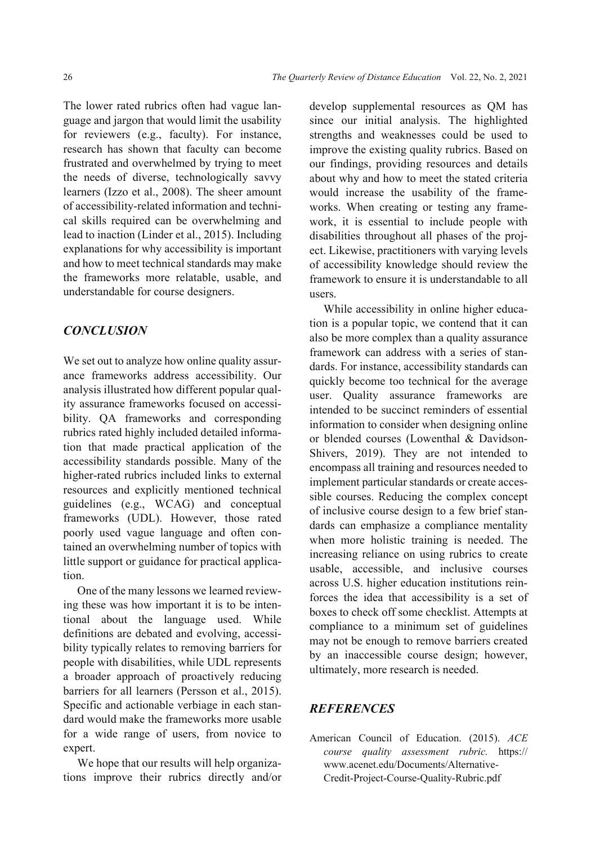The lower rated rubrics often had vague language and jargon that would limit the usability for reviewers (e.g., faculty). For instance, research has shown that faculty can become frustrated and overwhelmed by trying to meet the needs of diverse, technologically savvy learners (Izzo et al., 2008). The sheer amount of accessibility-related information and technical skills required can be overwhelming and lead to inaction (Linder et al., 2015). Including explanations for why accessibility is important and how to meet technical standards may make the frameworks more relatable, usable, and understandable for course designers.

## *CONCLUSION*

We set out to analyze how online quality assurance frameworks address accessibility. Our analysis illustrated how different popular quality assurance frameworks focused on accessibility. QA frameworks and corresponding rubrics rated highly included detailed information that made practical application of the accessibility standards possible. Many of the higher-rated rubrics included links to external resources and explicitly mentioned technical guidelines (e.g., WCAG) and conceptual frameworks (UDL). However, those rated poorly used vague language and often contained an overwhelming number of topics with little support or guidance for practical application.

One of the many lessons we learned reviewing these was how important it is to be intentional about the language used. While definitions are debated and evolving, accessibility typically relates to removing barriers for people with disabilities, while UDL represents a broader approach of proactively reducing barriers for all learners (Persson et al., 2015). Specific and actionable verbiage in each standard would make the frameworks more usable for a wide range of users, from novice to expert.

We hope that our results will help organizations improve their rubrics directly and/or develop supplemental resources as QM has since our initial analysis. The highlighted strengths and weaknesses could be used to improve the existing quality rubrics. Based on our findings, providing resources and details about why and how to meet the stated criteria would increase the usability of the frameworks. When creating or testing any framework, it is essential to include people with disabilities throughout all phases of the project. Likewise, practitioners with varying levels of accessibility knowledge should review the framework to ensure it is understandable to all users.

While accessibility in online higher education is a popular topic, we contend that it can also be more complex than a quality assurance framework can address with a series of standards. For instance, accessibility standards can quickly become too technical for the average user. Quality assurance frameworks are intended to be succinct reminders of essential information to consider when designing online or blended courses (Lowenthal & Davidson-Shivers, 2019). They are not intended to encompass all training and resources needed to implement particular standards or create accessible courses. Reducing the complex concept of inclusive course design to a few brief standards can emphasize a compliance mentality when more holistic training is needed. The increasing reliance on using rubrics to create usable, accessible, and inclusive courses across U.S. higher education institutions reinforces the idea that accessibility is a set of boxes to check off some checklist. Attempts at compliance to a minimum set of guidelines may not be enough to remove barriers created by an inaccessible course design; however, ultimately, more research is needed.

#### *REFERENCES*

American Council of Education. (2015). *ACE course quality assessment rubric.* https:// www.acenet.edu/Documents/Alternative-Credit-Project-Course-Quality-Rubric.pdf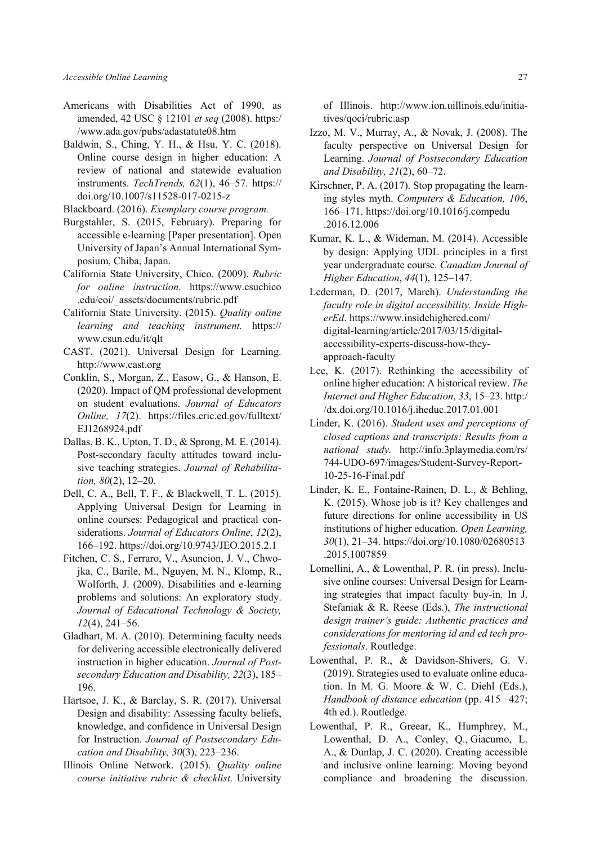- Americans with Disabilities Act of 1990, as amended, 42 USC § 12101 *et seq* (2008). https:/ /www.ada.gov/pubs/adastatute08.htm
- Baldwin, S., Ching, Y. H., & Hsu, Y. C. (2018). Online course design in higher education: A review of national and statewide evaluation instruments. *TechTrends, 62*(1), 46–57. https:// doi.org/10.1007/s11528-017-0215-z

Blackboard. (2016). *Exemplary course program.* 

- Burgstahler, S. (2015, February). Preparing for accessible e-learning [Paper presentation]. Open University of Japan's Annual International Symposium, Chiba, Japan.
- California State University, Chico. (2009). *Rubric for online instruction.* https://www.csuchico .edu/eoi/\_assets/documents/rubric.pdf
- California State University. (2015). *Quality online learning and teaching instrument.* https:// www.csun.edu/it/qlt
- CAST. (2021). Universal Design for Learning. http://www.cast.org
- Conklin, S., Morgan, Z., Easow, G., & Hanson, E. (2020). Impact of QM professional development on student evaluations. *Journal of Educators Online, 17*(2). https://files.eric.ed.gov/fulltext/ EJ1268924.pdf
- Dallas, B. K., Upton, T. D., & Sprong, M. E. (2014). Post-secondary faculty attitudes toward inclusive teaching strategies. *Journal of Rehabilitation, 80*(2), 12–20.
- Dell, C. A., Bell, T. F., & Blackwell, T. L. (2015). Applying Universal Design for Learning in online courses: Pedagogical and practical considerations. *Journal of Educators Online*, *12*(2), 166–192. https://doi.org/10.9743/JEO.2015.2.1
- Fitchen, C. S., Ferraro, V., Asuncion, J. V., Chwojka, C., Barile, M., Nguyen, M. N., Klomp, R., Wolforth, J. (2009). Disabilities and e-learning problems and solutions: An exploratory study. *Journal of Educational Technology & Society, 12*(4), 241–56.
- Gladhart, M. A. (2010). Determining faculty needs for delivering accessible electronically delivered instruction in higher education. *Journal of Postsecondary Education and Disability, 22*(3), 185– 196.
- Hartsoe, J. K., & Barclay, S. R. (2017). Universal Design and disability: Assessing faculty beliefs, knowledge, and confidence in Universal Design for Instruction. *Journal of Postsecondary Education and Disability, 30*(3), 223–236.
- Illinois Online Network. (2015). *Quality online course initiative rubric & checklist.* University

of Illinois. http://www.ion.uillinois.edu/initiatives/qoci/rubric.asp

- Izzo, M. V., Murray, A., & Novak, J. (2008). The faculty perspective on Universal Design for Learning. *Journal of Postsecondary Education and Disability, 21*(2), 60–72.
- Kirschner, P. A. (2017). Stop propagating the learning styles myth. *Computers & Education, 106*, 166–171. https://doi.org/10.1016/j.compedu .2016.12.006
- Kumar, K. L., & Wideman, M. (2014). Accessible by design: Applying UDL principles in a first year undergraduate course. *Canadian Journal of Higher Education*, *44*(1), 125–147.
- Lederman, D. (2017, March). *Understanding the faculty role in digital accessibility. Inside HigherEd*. https://www.insidehighered.com/ digital-learning/article/2017/03/15/digitalaccessibility-experts-discuss-how-theyapproach-faculty
- Lee, K. (2017). Rethinking the accessibility of online higher education: A historical review. *The Internet and Higher Education*, *33*, 15–23. http:/ /dx.doi.org/10.1016/j.iheduc.2017.01.001
- Linder, K. (2016). *Student uses and perceptions of closed captions and transcripts: Results from a national study.* http://info.3playmedia.com/rs/ 744-UDO-697/images/Student-Survey-Report-10-25-16-Final.pdf
- Linder, K. E., Fontaine-Rainen, D. L., & Behling, K. (2015). Whose job is it? Key challenges and future directions for online accessibility in US institutions of higher education. *Open Learning, 30*(1), 21–34. https://doi.org/10.1080/02680513 .2015.1007859
- Lomellini, A., & Lowenthal, P. R. (in press). Inclusive online courses: Universal Design for Learning strategies that impact faculty buy-in. In J. Stefaniak & R. Reese (Eds.), *The instructional design trainer's guide: Authentic practices and considerations for mentoring id and ed tech professionals*. Routledge.
- Lowenthal, P. R., & Davidson-Shivers, G. V. (2019). Strategies used to evaluate online education. In M. G. Moore & W. C. Diehl (Eds.), *Handbook of distance education* (pp. 415 –427; 4th ed.). Routledge.
- Lowenthal, P. R., Greear, K., Humphrey, M., Lowenthal, D. A., Conley, Q., Giacumo, L. A., & Dunlap, J. C. (2020). Creating accessible and inclusive online learning: Moving beyond compliance and broadening the discussion.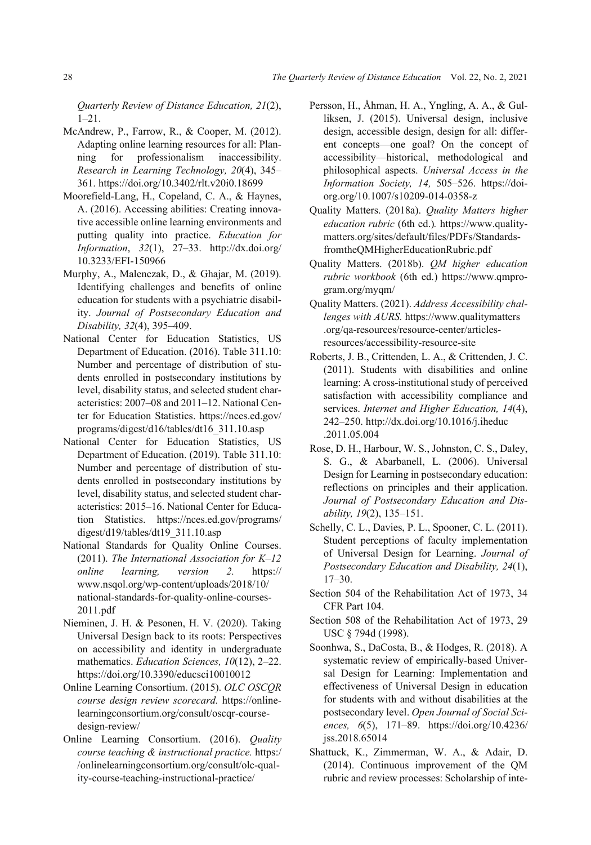*Quarterly Review of Distance Education, 21*(2), 1–21.

- McAndrew, P., Farrow, R., & Cooper, M. (2012). Adapting online learning resources for all: Planning for professionalism inaccessibility. *Research in Learning Technology, 20*(4), 345– 361. https://doi.org/10.3402/rlt.v20i0.18699
- Moorefield-Lang, H., Copeland, C. A., & Haynes, A. (2016). Accessing abilities: Creating innovative accessible online learning environments and putting quality into practice. *Education for Information*, *32*(1), 27–33. http://dx.doi.org/ 10.3233/EFI-150966
- Murphy, A., Malenczak, D., & Ghajar, M. (2019). Identifying challenges and benefits of online education for students with a psychiatric disability. *Journal of Postsecondary Education and Disability, 32*(4), 395–409.
- National Center for Education Statistics, US Department of Education. (2016). Table 311.10: Number and percentage of distribution of students enrolled in postsecondary institutions by level, disability status, and selected student characteristics: 2007–08 and 2011–12. National Center for Education Statistics. https://nces.ed.gov/ programs/digest/d16/tables/dt16\_311.10.asp
- National Center for Education Statistics, US Department of Education. (2019). Table 311.10: Number and percentage of distribution of students enrolled in postsecondary institutions by level, disability status, and selected student characteristics: 2015–16. National Center for Education Statistics. https://nces.ed.gov/programs/ digest/d19/tables/dt19\_311.10.asp
- National Standards for Quality Online Courses. (2011). *The International Association for K–12 online learning, version 2.* https:// www.nsqol.org/wp-content/uploads/2018/10/ national-standards-for-quality-online-courses-2011.pdf
- Nieminen, J. H. & Pesonen, H. V. (2020). Taking Universal Design back to its roots: Perspectives on accessibility and identity in undergraduate mathematics. *Education Sciences, 10*(12), 2–22. https://doi.org/10.3390/educsci10010012
- Online Learning Consortium. (2015). *OLC OSCQR course design review scorecard.* https://onlinelearningconsortium.org/consult/oscqr-coursedesign-review/
- Online Learning Consortium. (2016). *Quality course teaching & instructional practice.* https:/ /onlinelearningconsortium.org/consult/olc-quality-course-teaching-instructional-practice/
- Persson, H., Åhman, H. A., Yngling, A. A., & Gulliksen, J. (2015). Universal design, inclusive design, accessible design, design for all: different concepts—one goal? On the concept of accessibility—historical, methodological and philosophical aspects. *Universal Access in the Information Society, 14,* 505–526. https://doiorg.org/10.1007/s10209-014-0358-z
- Quality Matters. (2018a). *Quality Matters higher education rubric* (6th ed.)*.* https://www.qualitymatters.org/sites/default/files/PDFs/StandardsfromtheQMHigherEducationRubric.pdf
- Quality Matters. (2018b). *QM higher education rubric workbook* (6th ed.) https://www.qmprogram.org/myqm/
- Quality Matters. (2021). *Address Accessibility challenges with AURS.* https://www.qualitymatters .org/qa-resources/resource-center/articlesresources/accessibility-resource-site
- Roberts, J. B., Crittenden, L. A., & Crittenden, J. C. (2011). Students with disabilities and online learning: A cross-institutional study of perceived satisfaction with accessibility compliance and services. *Internet and Higher Education, 14*(4), 242–250. http://dx.doi.org/10.1016/j.iheduc .2011.05.004
- Rose, D. H., Harbour, W. S., Johnston, C. S., Daley, S. G., & Abarbanell, L. (2006). Universal Design for Learning in postsecondary education: reflections on principles and their application. *Journal of Postsecondary Education and Disability, 19*(2), 135–151.
- Schelly, C. L., Davies, P. L., Spooner, C. L. (2011). Student perceptions of faculty implementation of Universal Design for Learning. *Journal of Postsecondary Education and Disability, 24*(1), 17–30.
- Section 504 of the Rehabilitation Act of 1973, 34 CFR Part 104.
- Section 508 of the Rehabilitation Act of 1973, 29 USC § 794d (1998).
- Soonhwa, S., DaCosta, B., & Hodges, R. (2018). A systematic review of empirically-based Universal Design for Learning: Implementation and effectiveness of Universal Design in education for students with and without disabilities at the postsecondary level. *Open Journal of Social Sciences, 6*(5), 171–89. https://doi.org/10.4236/ jss.2018.65014
- Shattuck, K., Zimmerman, W. A., & Adair, D. (2014). Continuous improvement of the QM rubric and review processes: Scholarship of inte-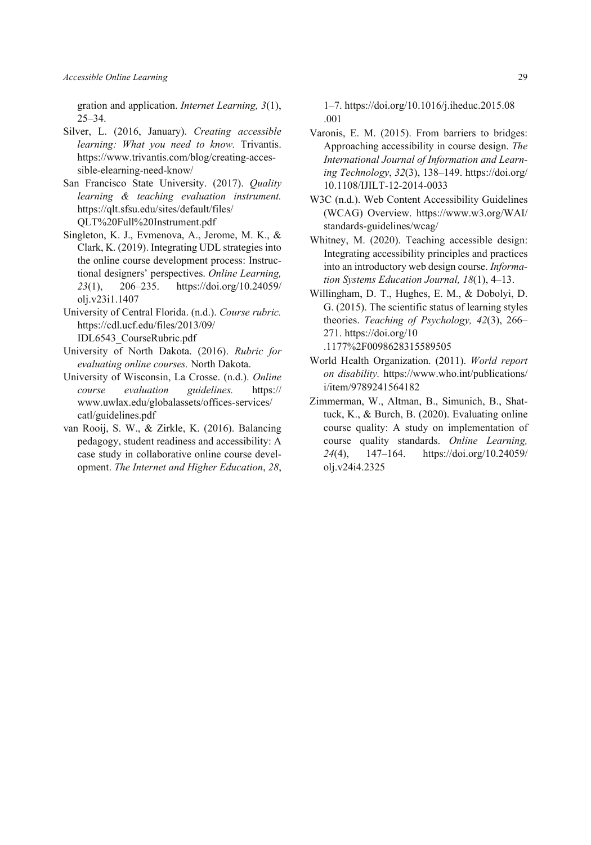gration and application. *Internet Learning, 3*(1), 25–34.

- Silver, L. (2016, January). *Creating accessible learning: What you need to know.* Trivantis. https://www.trivantis.com/blog/creating-accessible-elearning-need-know/
- San Francisco State University. (2017). *Quality learning & teaching evaluation instrument.* https://qlt.sfsu.edu/sites/default/files/ QLT%20Full%20Instrument.pdf
- Singleton, K. J., Evmenova, A., Jerome, M. K., & Clark, K. (2019). Integrating UDL strategies into the online course development process: Instructional designers' perspectives. *Online Learning, 23*(1), 206–235. https://doi.org/10.24059/ olj.v23i1.1407
- University of Central Florida. (n.d.). *Course rubric.* https://cdl.ucf.edu/files/2013/09/ IDL6543\_CourseRubric.pdf
- University of North Dakota. (2016). *Rubric for evaluating online courses.* North Dakota.
- University of Wisconsin, La Crosse. (n.d.). *Online course evaluation guidelines.* https:// www.uwlax.edu/globalassets/offices-services/ catl/guidelines.pdf
- van Rooij, S. W., & Zirkle, K. (2016). Balancing pedagogy, student readiness and accessibility: A case study in collaborative online course development. *The Internet and Higher Education*, *28*,

1–7. https://doi.org/10.1016/j.iheduc.2015.08 .001

- Varonis, E. M. (2015). From barriers to bridges: Approaching accessibility in course design. *The International Journal of Information and Learning Technology*, *32*(3), 138–149. https://doi.org/ 10.1108/IJILT-12-2014-0033
- W3C (n.d.). Web Content Accessibility Guidelines (WCAG) Overview. https://www.w3.org/WAI/ standards-guidelines/wcag/
- Whitney, M. (2020). Teaching accessible design: Integrating accessibility principles and practices into an introductory web design course. *Information Systems Education Journal, 18*(1), 4–13.
- Willingham, D. T., Hughes, E. M., & Dobolyi, D. G. (2015). The scientific status of learning styles theories. *Teaching of Psychology, 42*(3), 266– 271. https://doi.org/10
	- .1177%2F0098628315589505
- World Health Organization. (2011). *World report on disability.* https://www.who.int/publications/ i/item/9789241564182
- Zimmerman, W., Altman, B., Simunich, B., Shattuck, K., & Burch, B. (2020). Evaluating online course quality: A study on implementation of course quality standards. *Online Learning, 24*(4), 147–164. https://doi.org/10.24059/ olj.v24i4.2325